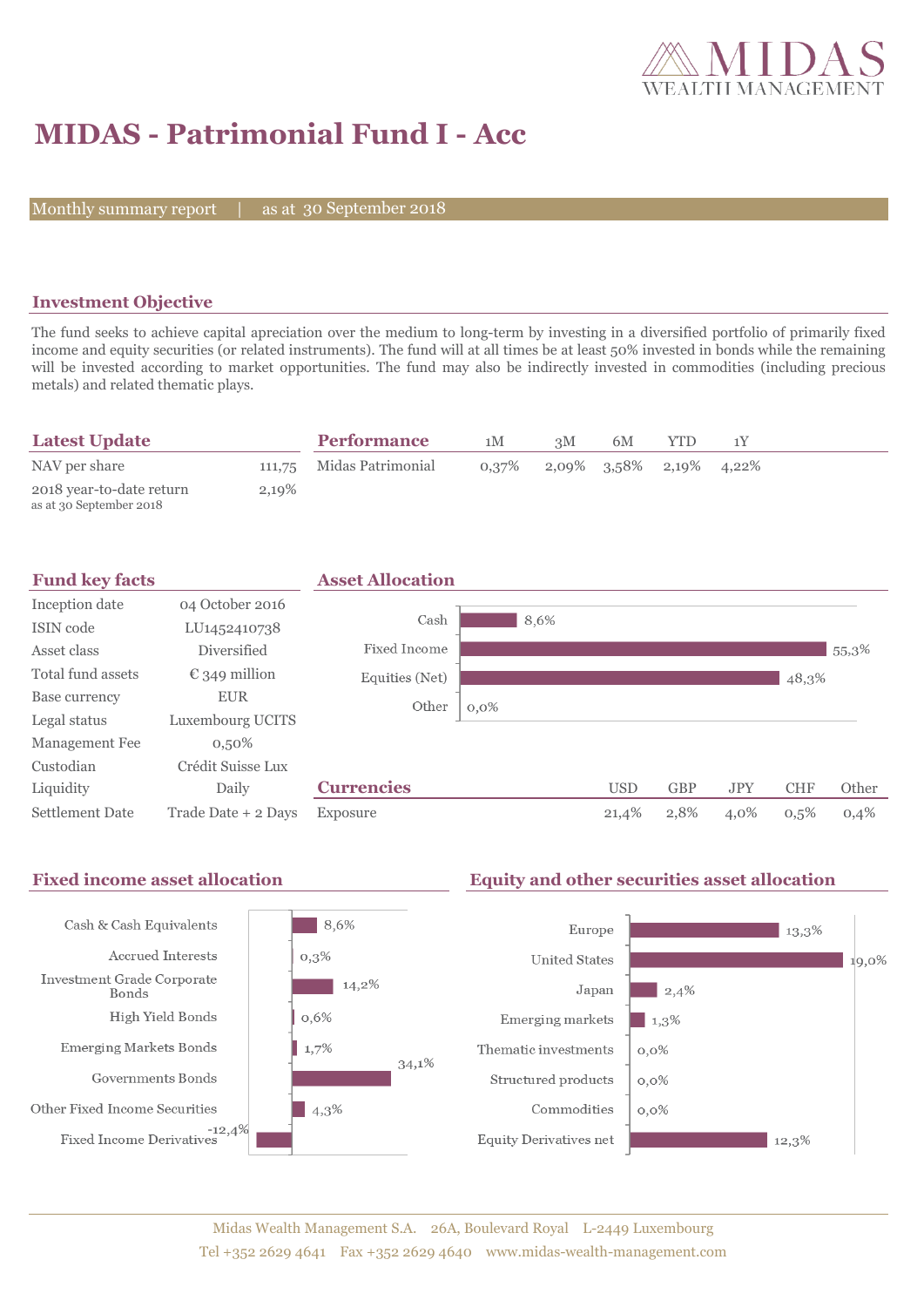

# **MIDAS - Patrimonial Fund I - Acc**

Monthly summary report

30 September 2018

### **Investment Objective**

The fund seeks to achieve capital apreciation over the medium to long-term by investing in a diversified portfolio of primarily fixed income and equity securities (or related instruments). The fund will at all times be at least 50% invested in bonds while the remaining will be invested according to market opportunities. The fund may also be indirectly invested in commodities (including precious metals) and related thematic plays.

| <b>Latest Update</b>                                |       | <b>Performance</b>       | 1M | зM                                  | 6M |  |  |
|-----------------------------------------------------|-------|--------------------------|----|-------------------------------------|----|--|--|
| NAV per share                                       |       | 111,75 Midas Patrimonial |    | $0,37\%$ 2,09% $3,58\%$ 2,19% 4,22% |    |  |  |
| 2018 year-to-date return<br>as at 30 September 2018 | 2,19% |                          |    |                                     |    |  |  |

| <b>Fund key facts</b> |                        | <b>Asset Allocation</b> |         |      |            |            |            |            |       |
|-----------------------|------------------------|-------------------------|---------|------|------------|------------|------------|------------|-------|
| Inception date        | 04 October 2016        |                         |         |      |            |            |            |            |       |
| ISIN code             | LU1452410738           | Cash                    |         | 8,6% |            |            |            |            |       |
| Asset class           | Diversified            | Fixed Income            |         |      |            |            |            |            | 55,3% |
| Total fund assets     | $\epsilon$ 349 million | Equities (Net)          |         |      |            |            |            | 48,3%      |       |
| Base currency         | <b>EUR</b>             | Other                   | $0,0\%$ |      |            |            |            |            |       |
| Legal status          | Luxembourg UCITS       |                         |         |      |            |            |            |            |       |
| Management Fee        | $0,50\%$               |                         |         |      |            |            |            |            |       |
| Custodian             | Crédit Suisse Lux      |                         |         |      |            |            |            |            |       |
| Liquidity             | Daily                  | <b>Currencies</b>       |         |      | <b>USD</b> | <b>GBP</b> | <b>JPY</b> | <b>CHF</b> | Other |
| Settlement Date       | Trade Date + 2 Days    | Exposure                |         |      | 21,4%      | 2,8%       | 4,0%       | 0,5%       | 0,4%  |

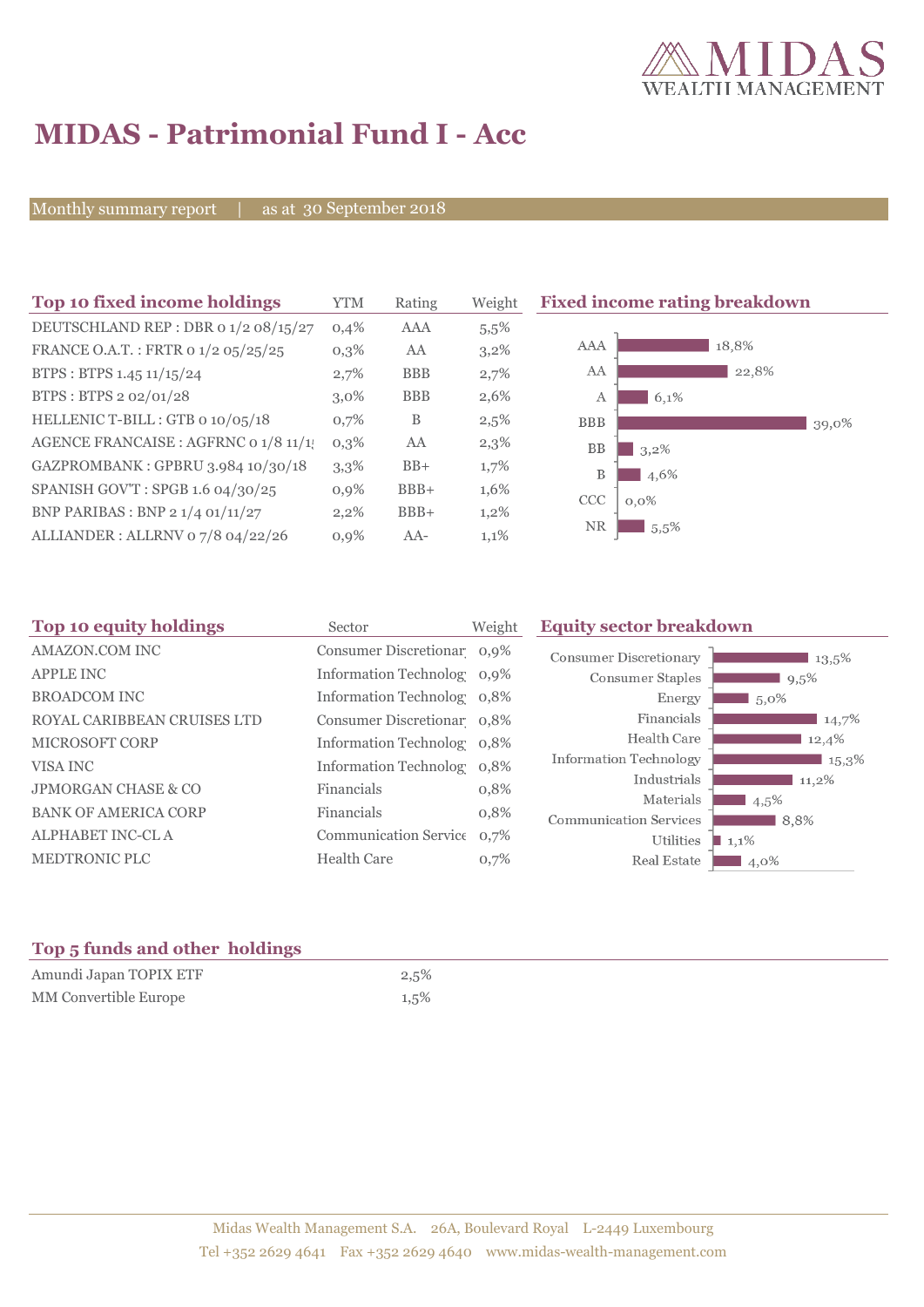

# **MIDAS - Patrimonial Fund I - Acc**

Monthly summary report | as at 30 September 2018

| Top 10 fixed income holdings          | <b>YTM</b> | Rating     | Weight  | <b>Fixed income rating breakdown</b> |
|---------------------------------------|------------|------------|---------|--------------------------------------|
| DEUTSCHLAND REP : DBR 0 1/2 08/15/27  | 0,4%       | <b>AAA</b> | 5.5%    |                                      |
| FRANCE O.A.T.: FRTR 0 1/2 05/25/25    | $0,3\%$    | AA         | $3,2\%$ | 18,8%<br>AAA                         |
| BTPS: BTPS 1.45 11/15/24              | 2,7%       | <b>BBB</b> | 2,7%    | AA<br>22,8%                          |
| BTPS: BTPS 2 02/01/28                 | $3.0\%$    | <b>BBB</b> | 2,6%    | 6,1%<br>А                            |
| HELLENIC T-BILL: GTB 0 10/05/18       | 0,7%       | B          | 2,5%    | <b>BBB</b><br>39,0%                  |
| AGENCE FRANCAISE : AGFRNC 0 1/8 11/1! | $0,3\%$    | AA         | $2,3\%$ | <b>BB</b><br>$3,2\%$                 |
| GAZPROMBANK: GPBRU 3.984 10/30/18     | 3,3%       | $BB+$      | 1,7%    | B<br>4,6%                            |
| SPANISH GOV'T: SPGB 1.6 04/30/25      | 0,9%       | $BBB+$     | 1,6%    | CCC<br>$0,0\%$                       |
| BNP PARIBAS : BNP 2 1/4 01/11/27      | 2,2%       | $BBB+$     | $1,2\%$ |                                      |
| ALLIANDER: ALLRNV 07/8 04/22/26       | 0,9%       | $AA-$      | 1,1%    | <b>NR</b><br>15,5%                   |

| Sector             | Weight | <b>Equity sector breakdown</b>                                                                                                                                                                                 |  |  |
|--------------------|--------|----------------------------------------------------------------------------------------------------------------------------------------------------------------------------------------------------------------|--|--|
|                    |        | <b>Consumer Discretionary</b><br>13,5%                                                                                                                                                                         |  |  |
|                    |        | <b>Consumer Staples</b><br>$9,5\%$                                                                                                                                                                             |  |  |
|                    |        | Energy<br>5,0%                                                                                                                                                                                                 |  |  |
|                    |        | Financials<br>14,7%                                                                                                                                                                                            |  |  |
|                    |        | Health Care<br>12,4%                                                                                                                                                                                           |  |  |
|                    |        | <b>Information Technology</b><br>$15,3\%$                                                                                                                                                                      |  |  |
| Financials         | 0,8%   | Industrials<br>11,2%<br>Materials                                                                                                                                                                              |  |  |
| Financials         | 0,8%   | $4,5\%$<br><b>Communication Services</b><br>8,8%                                                                                                                                                               |  |  |
|                    |        | Utilities<br>$\blacksquare$ 1,1%                                                                                                                                                                               |  |  |
| <b>Health Care</b> | 0,7%   | Real Estate<br>4,0%                                                                                                                                                                                            |  |  |
|                    |        | Consumer Discretionar 0,9%<br>Information Technolog 0,9%<br>Information Technolog 0,8%<br>Consumer Discretionar 0,8%<br>Information Technolog 0,8%<br>Information Technolog 0,8%<br>Communication Service 0,7% |  |  |

### **Top 5 funds and other holdings**

| Amundi Japan TOPIX ETF       | 2,5% |
|------------------------------|------|
| <b>MM</b> Convertible Europe | 1,5% |